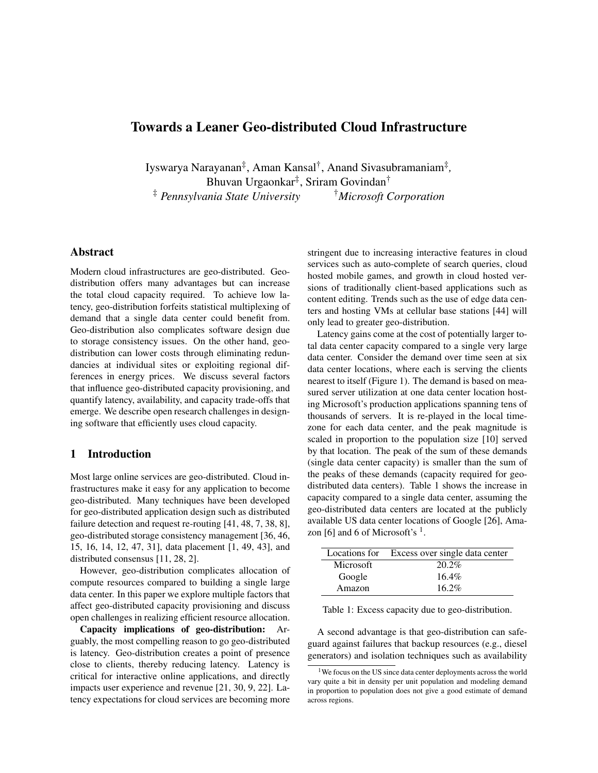# Towards a Leaner Geo-distributed Cloud Infrastructure

Iyswarya Narayanan‡ , Aman Kansal† , Anand Sivasubramaniam‡ *,* Bhuvan Urgaonkar‡ , Sriram Govindan† ‡ *Pennsylvania State University* †*Microsoft Corporation*

## Abstract

Modern cloud infrastructures are geo-distributed. Geodistribution offers many advantages but can increase the total cloud capacity required. To achieve low latency, geo-distribution forfeits statistical multiplexing of demand that a single data center could benefit from. Geo-distribution also complicates software design due to storage consistency issues. On the other hand, geodistribution can lower costs through eliminating redundancies at individual sites or exploiting regional differences in energy prices. We discuss several factors that influence geo-distributed capacity provisioning, and quantify latency, availability, and capacity trade-offs that emerge. We describe open research challenges in designing software that efficiently uses cloud capacity.

#### 1 Introduction

Most large online services are geo-distributed. Cloud infrastructures make it easy for any application to become geo-distributed. Many techniques have been developed for geo-distributed application design such as distributed failure detection and request re-routing [41, 48, 7, 38, 8], geo-distributed storage consistency management [36, 46, 15, 16, 14, 12, 47, 31], data placement [1, 49, 43], and distributed consensus [11, 28, 2].

However, geo-distribution complicates allocation of compute resources compared to building a single large data center. In this paper we explore multiple factors that affect geo-distributed capacity provisioning and discuss open challenges in realizing efficient resource allocation.

Capacity implications of geo-distribution: Arguably, the most compelling reason to go geo-distributed is latency. Geo-distribution creates a point of presence close to clients, thereby reducing latency. Latency is critical for interactive online applications, and directly impacts user experience and revenue [21, 30, 9, 22]. Latency expectations for cloud services are becoming more stringent due to increasing interactive features in cloud services such as auto-complete of search queries, cloud hosted mobile games, and growth in cloud hosted versions of traditionally client-based applications such as content editing. Trends such as the use of edge data centers and hosting VMs at cellular base stations [44] will only lead to greater geo-distribution.

Latency gains come at the cost of potentially larger total data center capacity compared to a single very large data center. Consider the demand over time seen at six data center locations, where each is serving the clients nearest to itself (Figure 1). The demand is based on measured server utilization at one data center location hosting Microsoft's production applications spanning tens of thousands of servers. It is re-played in the local timezone for each data center, and the peak magnitude is scaled in proportion to the population size [10] served by that location. The peak of the sum of these demands (single data center capacity) is smaller than the sum of the peaks of these demands (capacity required for geodistributed data centers). Table 1 shows the increase in capacity compared to a single data center, assuming the geo-distributed data centers are located at the publicly available US data center locations of Google [26], Amazon [6] and 6 of Microsoft's  $<sup>1</sup>$ .</sup>

|           | Locations for Excess over single data center |
|-----------|----------------------------------------------|
| Microsoft | 20.2%                                        |
| Google    | $16.4\%$                                     |
| Amazon    | $16.2\%$                                     |

Table 1: Excess capacity due to geo-distribution.

A second advantage is that geo-distribution can safeguard against failures that backup resources (e.g., diesel generators) and isolation techniques such as availability

<sup>&</sup>lt;sup>1</sup>We focus on the US since data center deployments across the world vary quite a bit in density per unit population and modeling demand in proportion to population does not give a good estimate of demand across regions.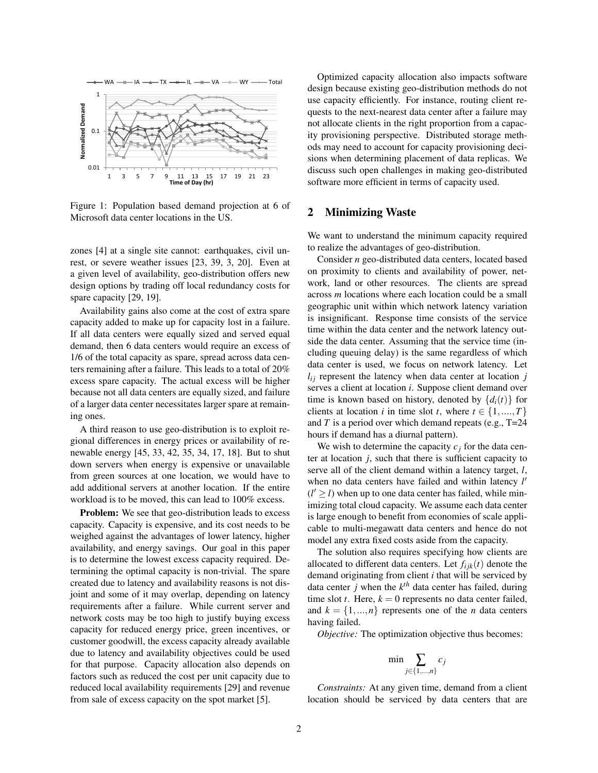

Figure 1: Population based demand projection at 6 of Microsoft data center locations in the US.

zones [4] at a single site cannot: earthquakes, civil unrest, or severe weather issues [23, 39, 3, 20]. Even at a given level of availability, geo-distribution offers new design options by trading off local redundancy costs for spare capacity [29, 19].

Availability gains also come at the cost of extra spare capacity added to make up for capacity lost in a failure. If all data centers were equally sized and served equal demand, then 6 data centers would require an excess of 1/6 of the total capacity as spare, spread across data centers remaining after a failure. This leads to a total of 20% excess spare capacity. The actual excess will be higher because not all data centers are equally sized, and failure of a larger data center necessitates larger spare at remaining ones.

A third reason to use geo-distribution is to exploit regional differences in energy prices or availability of renewable energy [45, 33, 42, 35, 34, 17, 18]. But to shut down servers when energy is expensive or unavailable from green sources at one location, we would have to add additional servers at another location. If the entire workload is to be moved, this can lead to 100% excess.

**Problem:** We see that geo-distribution leads to excess capacity. Capacity is expensive, and its cost needs to be weighed against the advantages of lower latency, higher availability, and energy savings. Our goal in this paper is to determine the lowest excess capacity required. Determining the optimal capacity is non-trivial. The spare created due to latency and availability reasons is not disjoint and some of it may overlap, depending on latency requirements after a failure. While current server and network costs may be too high to justify buying excess capacity for reduced energy price, green incentives, or customer goodwill, the excess capacity already available due to latency and availability objectives could be used for that purpose. Capacity allocation also depends on factors such as reduced the cost per unit capacity due to reduced local availability requirements [29] and revenue from sale of excess capacity on the spot market [5].

Optimized capacity allocation also impacts software design because existing geo-distribution methods do not use capacity efficiently. For instance, routing client requests to the next-nearest data center after a failure may not allocate clients in the right proportion from a capacity provisioning perspective. Distributed storage methods may need to account for capacity provisioning decisions when determining placement of data replicas. We discuss such open challenges in making geo-distributed software more efficient in terms of capacity used.

#### 2 Minimizing Waste

We want to understand the minimum capacity required to realize the advantages of geo-distribution.

Consider *n* geo-distributed data centers, located based on proximity to clients and availability of power, network, land or other resources. The clients are spread across *m* locations where each location could be a small geographic unit within which network latency variation is insignificant. Response time consists of the service time within the data center and the network latency outside the data center. Assuming that the service time (including queuing delay) is the same regardless of which data center is used, we focus on network latency. Let  $l_{ij}$  represent the latency when data center at location *j* serves a client at location *i*. Suppose client demand over time is known based on history, denoted by  $\{d_i(t)\}\$ for clients at location *i* in time slot *t*, where  $t \in \{1, ..., T\}$ and *T* is a period over which demand repeats (e.g., T=24 hours if demand has a diurnal pattern).

We wish to determine the capacity  $c_i$  for the data center at location *j*, such that there is sufficient capacity to serve all of the client demand within a latency target, *l*, when no data centers have failed and within latency *l'*  $(l' \ge l)$  when up to one data center has failed, while minimizing total cloud capacity. We assume each data center is large enough to benefit from economies of scale applicable to multi-megawatt data centers and hence do not model any extra fixed costs aside from the capacity.

The solution also requires specifying how clients are allocated to different data centers. Let  $f_{ijk}(t)$  denote the demand originating from client *i* that will be serviced by data center *j* when the *k th* data center has failed, during time slot *t*. Here,  $k = 0$  represents no data center failed, and  $k = \{1, ..., n\}$  represents one of the *n* data centers having failed.

*Objective:* The optimization objective thus becomes:

$$
\min \sum_{j \in \{1,\ldots,n\}} c_j
$$

*Constraints:* At any given time, demand from a client location should be serviced by data centers that are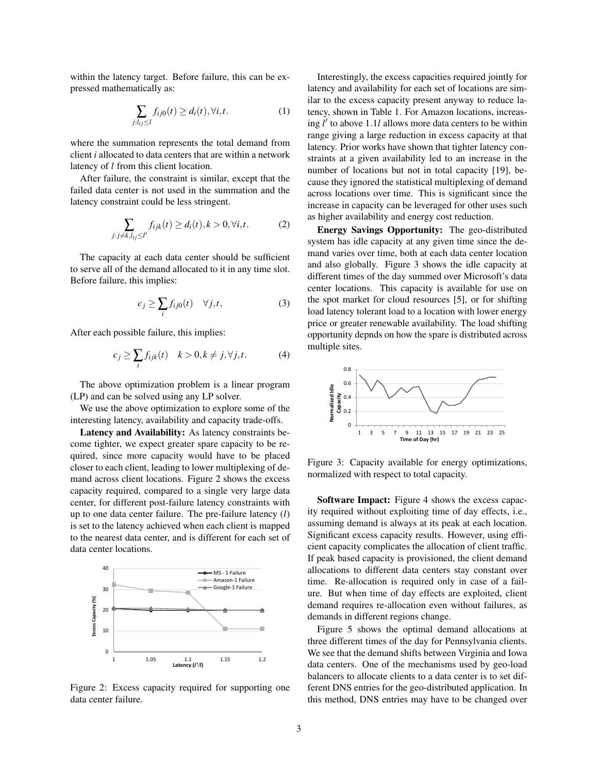within the latency target. Before failure, this can be expressed mathematically as:

$$
\sum_{j:l_{ij}\leq l}f_{ij0}(t)\geq d_i(t),\forall i,t.
$$
 (1)

where the summation represents the total demand from client *i* allocated to data centers that are within a network latency of *l* from this client location.

After failure, the constraint is similar, except that the failed data center is not used in the summation and the latency constraint could be less stringent.

$$
\sum_{j:j\neq k,l_{ij}\leq l'} f_{ijk}(t) \geq d_i(t), k > 0, \forall i, t.
$$
 (2)

The capacity at each data center should be sufficient to serve all of the demand allocated to it in any time slot. Before failure, this implies:

$$
c_j \ge \sum_i f_{ij0}(t) \quad \forall j, t,
$$
 (3)

After each possible failure, this implies:

$$
c_j \ge \sum_i f_{ijk}(t) \quad k > 0, k \ne j, \forall j, t. \tag{4}
$$

The above optimization problem is a linear program (LP) and can be solved using any LP solver.

We use the above optimization to explore some of the interesting latency, availability and capacity trade-offs.

Latency and Availability: As latency constraints become tighter, we expect greater spare capacity to be required, since more capacity would have to be placed closer to each client, leading to lower multiplexing of demand across client locations. Figure 2 shows the excess capacity required, compared to a single very large data center, for different post-failure latency constraints with up to one data center failure. The pre-failure latency (*l*) is set to the latency achieved when each client is mapped to the nearest data center, and is different for each set of data center locations.



Figure 2: Excess capacity required for supporting one data center failure.

Interestingly, the excess capacities required jointly for latency and availability for each set of locations are similar to the excess capacity present anyway to reduce latency, shown in Table 1. For Amazon locations, increasing  $l'$  to above 1.1*l* allows more data centers to be within range giving a large reduction in excess capacity at that latency. Prior works have shown that tighter latency constraints at a given availability led to an increase in the number of locations but not in total capacity [19], because they ignored the statistical multiplexing of demand across locations over time. This is significant since the increase in capacity can be leveraged for other uses such as higher availability and energy cost reduction.

Energy Savings Opportunity: The geo-distributed system has idle capacity at any given time since the demand varies over time, both at each data center location and also globally. Figure 3 shows the idle capacity at different times of the day summed over Microsoft's data center locations. This capacity is available for use on the spot market for cloud resources [5], or for shifting load latency tolerant load to a location with lower energy price or greater renewable availability. The load shifting opportunity depnds on how the spare is distributed across multiple sites.



Figure 3: Capacity available for energy optimizations, normalized with respect to total capacity.

Software Impact: Figure 4 shows the excess capacity required without exploiting time of day effects, i.e., assuming demand is always at its peak at each location. Significant excess capacity results. However, using efficient capacity complicates the allocation of client traffic. If peak based capacity is provisioned, the client demand allocations to different data centers stay constant over time. Re-allocation is required only in case of a failure. But when time of day effects are exploited, client demand requires re-allocation even without failures, as demands in different regions change.

Figure 5 shows the optimal demand allocations at three different times of the day for Pennsylvania clients. We see that the demand shifts between Virginia and Iowa data centers. One of the mechanisms used by geo-load balancers to allocate clients to a data center is to set different DNS entries for the geo-distributed application. In this method, DNS entries may have to be changed over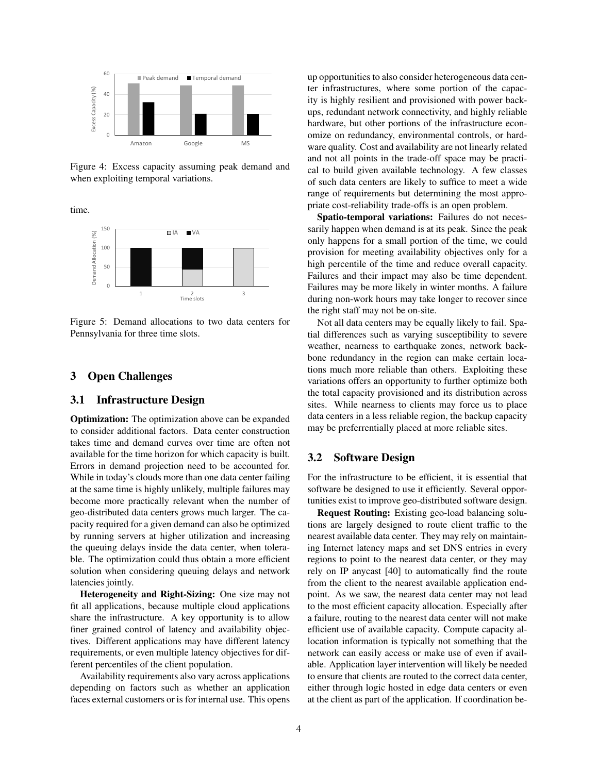

Figure 4: Excess capacity assuming peak demand and when exploiting temporal variations.

time.



Figure 5: Demand allocations to two data centers for Pennsylvania for three time slots.

#### 3 Open Challenges

#### 3.1 Infrastructure Design

Optimization: The optimization above can be expanded to consider additional factors. Data center construction takes time and demand curves over time are often not available for the time horizon for which capacity is built. Errors in demand projection need to be accounted for. While in today's clouds more than one data center failing at the same time is highly unlikely, multiple failures may become more practically relevant when the number of geo-distributed data centers grows much larger. The capacity required for a given demand can also be optimized by running servers at higher utilization and increasing the queuing delays inside the data center, when tolerable. The optimization could thus obtain a more efficient solution when considering queuing delays and network latencies jointly.

Heterogeneity and Right-Sizing: One size may not fit all applications, because multiple cloud applications share the infrastructure. A key opportunity is to allow finer grained control of latency and availability objectives. Different applications may have different latency requirements, or even multiple latency objectives for different percentiles of the client population.

Availability requirements also vary across applications depending on factors such as whether an application faces external customers or is for internal use. This opens up opportunities to also consider heterogeneous data center infrastructures, where some portion of the capacity is highly resilient and provisioned with power backups, redundant network connectivity, and highly reliable hardware, but other portions of the infrastructure economize on redundancy, environmental controls, or hardware quality. Cost and availability are not linearly related and not all points in the trade-off space may be practical to build given available technology. A few classes of such data centers are likely to suffice to meet a wide range of requirements but determining the most appropriate cost-reliability trade-offs is an open problem.

Spatio-temporal variations: Failures do not necessarily happen when demand is at its peak. Since the peak only happens for a small portion of the time, we could provision for meeting availability objectives only for a high percentile of the time and reduce overall capacity. Failures and their impact may also be time dependent. Failures may be more likely in winter months. A failure during non-work hours may take longer to recover since the right staff may not be on-site.

Not all data centers may be equally likely to fail. Spatial differences such as varying susceptibility to severe weather, nearness to earthquake zones, network backbone redundancy in the region can make certain locations much more reliable than others. Exploiting these variations offers an opportunity to further optimize both the total capacity provisioned and its distribution across sites. While nearness to clients may force us to place data centers in a less reliable region, the backup capacity may be preferrentially placed at more reliable sites.

#### 3.2 Software Design

For the infrastructure to be efficient, it is essential that software be designed to use it efficiently. Several opportunities exist to improve geo-distributed software design.

Request Routing: Existing geo-load balancing solutions are largely designed to route client traffic to the nearest available data center. They may rely on maintaining Internet latency maps and set DNS entries in every regions to point to the nearest data center, or they may rely on IP anycast [40] to automatically find the route from the client to the nearest available application endpoint. As we saw, the nearest data center may not lead to the most efficient capacity allocation. Especially after a failure, routing to the nearest data center will not make efficient use of available capacity. Compute capacity allocation information is typically not something that the network can easily access or make use of even if available. Application layer intervention will likely be needed to ensure that clients are routed to the correct data center, either through logic hosted in edge data centers or even at the client as part of the application. If coordination be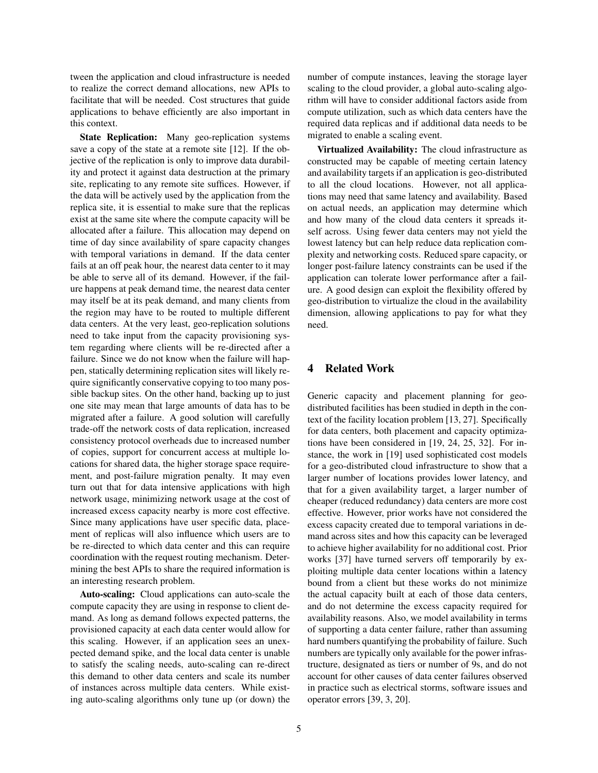tween the application and cloud infrastructure is needed to realize the correct demand allocations, new APIs to facilitate that will be needed. Cost structures that guide applications to behave efficiently are also important in this context.

State Replication: Many geo-replication systems save a copy of the state at a remote site [12]. If the objective of the replication is only to improve data durability and protect it against data destruction at the primary site, replicating to any remote site suffices. However, if the data will be actively used by the application from the replica site, it is essential to make sure that the replicas exist at the same site where the compute capacity will be allocated after a failure. This allocation may depend on time of day since availability of spare capacity changes with temporal variations in demand. If the data center fails at an off peak hour, the nearest data center to it may be able to serve all of its demand. However, if the failure happens at peak demand time, the nearest data center may itself be at its peak demand, and many clients from the region may have to be routed to multiple different data centers. At the very least, geo-replication solutions need to take input from the capacity provisioning system regarding where clients will be re-directed after a failure. Since we do not know when the failure will happen, statically determining replication sites will likely require significantly conservative copying to too many possible backup sites. On the other hand, backing up to just one site may mean that large amounts of data has to be migrated after a failure. A good solution will carefully trade-off the network costs of data replication, increased consistency protocol overheads due to increased number of copies, support for concurrent access at multiple locations for shared data, the higher storage space requirement, and post-failure migration penalty. It may even turn out that for data intensive applications with high network usage, minimizing network usage at the cost of increased excess capacity nearby is more cost effective. Since many applications have user specific data, placement of replicas will also influence which users are to be re-directed to which data center and this can require coordination with the request routing mechanism. Determining the best APIs to share the required information is an interesting research problem.

Auto-scaling: Cloud applications can auto-scale the compute capacity they are using in response to client demand. As long as demand follows expected patterns, the provisioned capacity at each data center would allow for this scaling. However, if an application sees an unexpected demand spike, and the local data center is unable to satisfy the scaling needs, auto-scaling can re-direct this demand to other data centers and scale its number of instances across multiple data centers. While existing auto-scaling algorithms only tune up (or down) the number of compute instances, leaving the storage layer scaling to the cloud provider, a global auto-scaling algorithm will have to consider additional factors aside from compute utilization, such as which data centers have the required data replicas and if additional data needs to be migrated to enable a scaling event.

Virtualized Availability: The cloud infrastructure as constructed may be capable of meeting certain latency and availability targets if an application is geo-distributed to all the cloud locations. However, not all applications may need that same latency and availability. Based on actual needs, an application may determine which and how many of the cloud data centers it spreads itself across. Using fewer data centers may not yield the lowest latency but can help reduce data replication complexity and networking costs. Reduced spare capacity, or longer post-failure latency constraints can be used if the application can tolerate lower performance after a failure. A good design can exploit the flexibility offered by geo-distribution to virtualize the cloud in the availability dimension, allowing applications to pay for what they need.

#### 4 Related Work

Generic capacity and placement planning for geodistributed facilities has been studied in depth in the context of the facility location problem [13, 27]. Specifically for data centers, both placement and capacity optimizations have been considered in [19, 24, 25, 32]. For instance, the work in [19] used sophisticated cost models for a geo-distributed cloud infrastructure to show that a larger number of locations provides lower latency, and that for a given availability target, a larger number of cheaper (reduced redundancy) data centers are more cost effective. However, prior works have not considered the excess capacity created due to temporal variations in demand across sites and how this capacity can be leveraged to achieve higher availability for no additional cost. Prior works [37] have turned servers off temporarily by exploiting multiple data center locations within a latency bound from a client but these works do not minimize the actual capacity built at each of those data centers, and do not determine the excess capacity required for availability reasons. Also, we model availability in terms of supporting a data center failure, rather than assuming hard numbers quantifying the probability of failure. Such numbers are typically only available for the power infrastructure, designated as tiers or number of 9s, and do not account for other causes of data center failures observed in practice such as electrical storms, software issues and operator errors [39, 3, 20].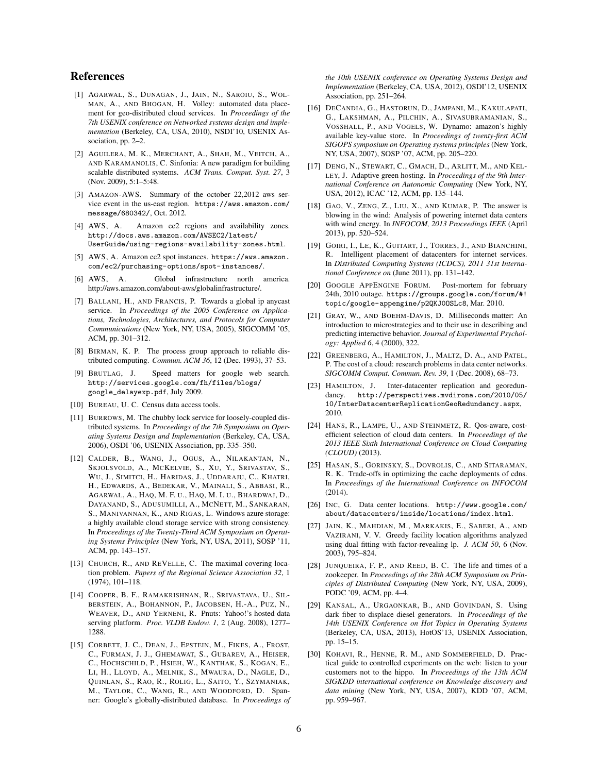### References

- [1] AGARWAL, S., DUNAGAN, J., JAIN, N., SAROIU, S., WOL-MAN, A., AND BHOGAN, H. Volley: automated data placement for geo-distributed cloud services. In *Proceedings of the 7th USENIX conference on Networked systems design and implementation* (Berkeley, CA, USA, 2010), NSDI'10, USENIX Association, pp. 2–2.
- [2] AGUILERA, M. K., MERCHANT, A., SHAH, M., VEITCH, A., AND KARAMANOLIS, C. Sinfonia: A new paradigm for building scalable distributed systems. *ACM Trans. Comput. Syst. 27*, 3 (Nov. 2009), 5:1–5:48.
- [3] AMAZON-AWS. Summary of the october 22,2012 aws service event in the us-east region. https://aws.amazon.com/ message/680342/, Oct. 2012.
- [4] AWS, A. Amazon ec2 regions and availability zones. http://docs.aws.amazon.com/AWSEC2/latest/ UserGuide/using-regions-availability-zones.html.
- [5] AWS, A. Amazon ec2 spot instances. https://aws.amazon. com/ec2/purchasing-options/spot-instances/.
- [6] AWS, A. Global infrastructure north america. http://aws.amazon.com/about-aws/globalinfrastructure/.
- [7] BALLANI, H., AND FRANCIS, P. Towards a global ip anycast service. In *Proceedings of the 2005 Conference on Applications, Technologies, Architectures, and Protocols for Computer Communications* (New York, NY, USA, 2005), SIGCOMM '05, ACM, pp. 301–312.
- [8] BIRMAN, K. P. The process group approach to reliable distributed computing. *Commun. ACM 36*, 12 (Dec. 1993), 37–53.
- [9] BRUTLAG, J. Speed matters for google web search. http://services.google.com/fh/files/blogs/ google\_delayexp.pdf, July 2009.
- [10] BUREAU, U. C. Census data access tools.
- [11] BURROWS, M. The chubby lock service for loosely-coupled distributed systems. In *Proceedings of the 7th Symposium on Operating Systems Design and Implementation* (Berkeley, CA, USA, 2006), OSDI '06, USENIX Association, pp. 335–350.
- [12] CALDER, B., WANG, J., OGUS, A., NILAKANTAN, N., SKJOLSVOLD, A., MCKELVIE, S., XU, Y., SRIVASTAV, S., WU, J., SIMITCI, H., HARIDAS, J., UDDARAJU, C., KHATRI, H., EDWARDS, A., BEDEKAR, V., MAINALI, S., ABBASI, R., AGARWAL, A., HAQ, M. F. U., HAQ, M. I. U., BHARDWAJ, D., DAYANAND, S., ADUSUMILLI, A., MCNETT, M., SANKARAN, S., MANIVANNAN, K., AND RIGAS, L. Windows azure storage: a highly available cloud storage service with strong consistency. In *Proceedings of the Twenty-Third ACM Symposium on Operating Systems Principles* (New York, NY, USA, 2011), SOSP '11, ACM, pp. 143–157.
- [13] CHURCH, R., AND REVELLE, C. The maximal covering location problem. *Papers of the Regional Science Association 32*, 1 (1974), 101–118.
- [14] COOPER, B. F., RAMAKRISHNAN, R., SRIVASTAVA, U., SIL-BERSTEIN, A., BOHANNON, P., JACOBSEN, H.-A., PUZ, N., WEAVER, D., AND YERNENI, R. Pnuts: Yahoo!'s hosted data serving platform. *Proc. VLDB Endow. 1*, 2 (Aug. 2008), 1277– 1288.
- [15] CORBETT, J. C., DEAN, J., EPSTEIN, M., FIKES, A., FROST, C., FURMAN, J. J., GHEMAWAT, S., GUBAREV, A., HEISER, C., HOCHSCHILD, P., HSIEH, W., KANTHAK, S., KOGAN, E., LI, H., LLOYD, A., MELNIK, S., MWAURA, D., NAGLE, D., QUINLAN, S., RAO, R., ROLIG, L., SAITO, Y., SZYMANIAK, M., TAYLOR, C., WANG, R., AND WOODFORD, D. Spanner: Google's globally-distributed database. In *Proceedings of*

*the 10th USENIX conference on Operating Systems Design and Implementation* (Berkeley, CA, USA, 2012), OSDI'12, USENIX Association, pp. 251–264.

- [16] DECANDIA, G., HASTORUN, D., JAMPANI, M., KAKULAPATI, G., LAKSHMAN, A., PILCHIN, A., SIVASUBRAMANIAN, S., VOSSHALL, P., AND VOGELS, W. Dynamo: amazon's highly available key-value store. In *Proceedings of twenty-first ACM SIGOPS symposium on Operating systems principles* (New York, NY, USA, 2007), SOSP '07, ACM, pp. 205–220.
- [17] DENG, N., STEWART, C., GMACH, D., ARLITT, M., AND KEL-LEY, J. Adaptive green hosting. In *Proceedings of the 9th International Conference on Autonomic Computing* (New York, NY, USA, 2012), ICAC '12, ACM, pp. 135–144.
- [18] GAO, V., ZENG, Z., LIU, X., AND KUMAR, P. The answer is blowing in the wind: Analysis of powering internet data centers with wind energy. In *INFOCOM, 2013 Proceedings IEEE* (April 2013), pp. 520–524.
- [19] GOIRI, I., LE, K., GUITART, J., TORRES, J., AND BIANCHINI, R. Intelligent placement of datacenters for internet services. In *Distributed Computing Systems (ICDCS), 2011 31st International Conference on* (June 2011), pp. 131–142.
- [20] GOOGLE APPENGINE FORUM. Post-mortem for february 24th, 2010 outage. https://groups.google.com/forum/#! topic/google-appengine/p2QKJ0OSLc8, Mar. 2010.
- [21] GRAY, W., AND BOEHM-DAVIS, D. Milliseconds matter: An introduction to microstrategies and to their use in describing and predicting interactive behavior. *Journal of Experimental Psychology: Applied 6*, 4 (2000), 322.
- [22] GREENBERG, A., HAMILTON, J., MALTZ, D. A., AND PATEL, P. The cost of a cloud: research problems in data center networks. *SIGCOMM Comput. Commun. Rev. 39*, 1 (Dec. 2008), 68–73.
- [23] HAMILTON, J. Inter-datacenter replication and georedundancy. http://perspectives.mvdirona.com/2010/05/ 10/InterDatacenterReplicationGeoRedundancy.aspx, 2010.
- [24] HANS, R., LAMPE, U., AND STEINMETZ, R. Qos-aware, costefficient selection of cloud data centers. In *Proceedings of the 2013 IEEE Sixth International Conference on Cloud Computing (CLOUD)* (2013).
- [25] HASAN, S., GORINSKY, S., DOVROLIS, C., AND SITARAMAN, R. K. Trade-offs in optimizing the cache deployments of cdns. In *Proceedings of the International Conference on INFOCOM* (2014).
- [26] INC, G. Data center locations. http://www.google.com/ about/datacenters/inside/locations/index.html.
- [27] JAIN, K., MAHDIAN, M., MARKAKIS, E., SABERI, A., AND VAZIRANI, V. V. Greedy facility location algorithms analyzed using dual fitting with factor-revealing lp. *J. ACM 50*, 6 (Nov. 2003), 795–824.
- [28] JUNQUEIRA, F. P., AND REED, B. C. The life and times of a zookeeper. In *Proceedings of the 28th ACM Symposium on Principles of Distributed Computing* (New York, NY, USA, 2009), PODC '09, ACM, pp. 4–4.
- [29] KANSAL, A., URGAONKAR, B., AND GOVINDAN, S. Using dark fiber to displace diesel generators. In *Proceedings of the 14th USENIX Conference on Hot Topics in Operating Systems* (Berkeley, CA, USA, 2013), HotOS'13, USENIX Association, pp. 15–15.
- [30] KOHAVI, R., HENNE, R. M., AND SOMMERFIELD, D. Practical guide to controlled experiments on the web: listen to your customers not to the hippo. In *Proceedings of the 13th ACM SIGKDD international conference on Knowledge discovery and data mining* (New York, NY, USA, 2007), KDD '07, ACM, pp. 959–967.